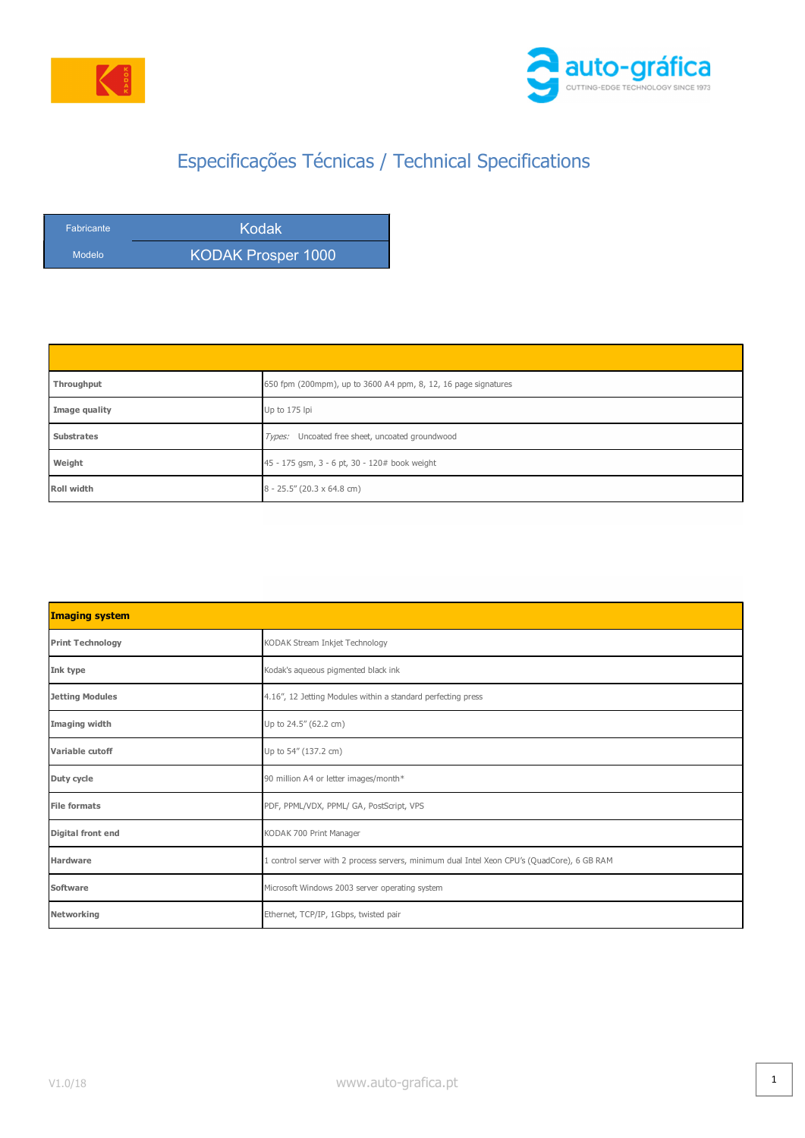

l



## Especificações Técnicas / Technical Specifications

| <b>Fabricante</b> | Kodak                     |
|-------------------|---------------------------|
| Modelo            | <b>KODAK Prosper 1000</b> |

| Throughput        | 650 fpm (200mpm), up to 3600 A4 ppm, 8, 12, 16 page signatures |
|-------------------|----------------------------------------------------------------|
| Image quality     | Up to 175 lpi                                                  |
| <b>Substrates</b> | Types: Uncoated free sheet, uncoated groundwood                |
| Weight            | 45 - 175 gsm, 3 - 6 pt, 30 - 120# book weight                  |
| Roll width        | $8 - 25.5''$ (20.3 x 64.8 cm)                                  |

| <b>Imaging system</b>    |                                                                                             |
|--------------------------|---------------------------------------------------------------------------------------------|
| <b>Print Technology</b>  | KODAK Stream Inkjet Technology                                                              |
| Ink type                 | Kodak's aqueous pigmented black ink                                                         |
| <b>Jetting Modules</b>   | 4.16", 12 Jetting Modules within a standard perfecting press                                |
| Imaging width            | Up to 24.5" (62.2 cm)                                                                       |
| Variable cutoff          | Up to 54" (137.2 cm)                                                                        |
| Duty cycle               | 90 million A4 or letter images/month*                                                       |
| <b>File formats</b>      | PDF, PPML/VDX, PPML/ GA, PostScript, VPS                                                    |
| <b>Digital front end</b> | KODAK 700 Print Manager                                                                     |
| <b>Hardware</b>          | 1 control server with 2 process servers, minimum dual Intel Xeon CPU's (QuadCore), 6 GB RAM |
| Software                 | Microsoft Windows 2003 server operating system                                              |
| Networking               | Ethernet, TCP/IP, 1Gbps, twisted pair                                                       |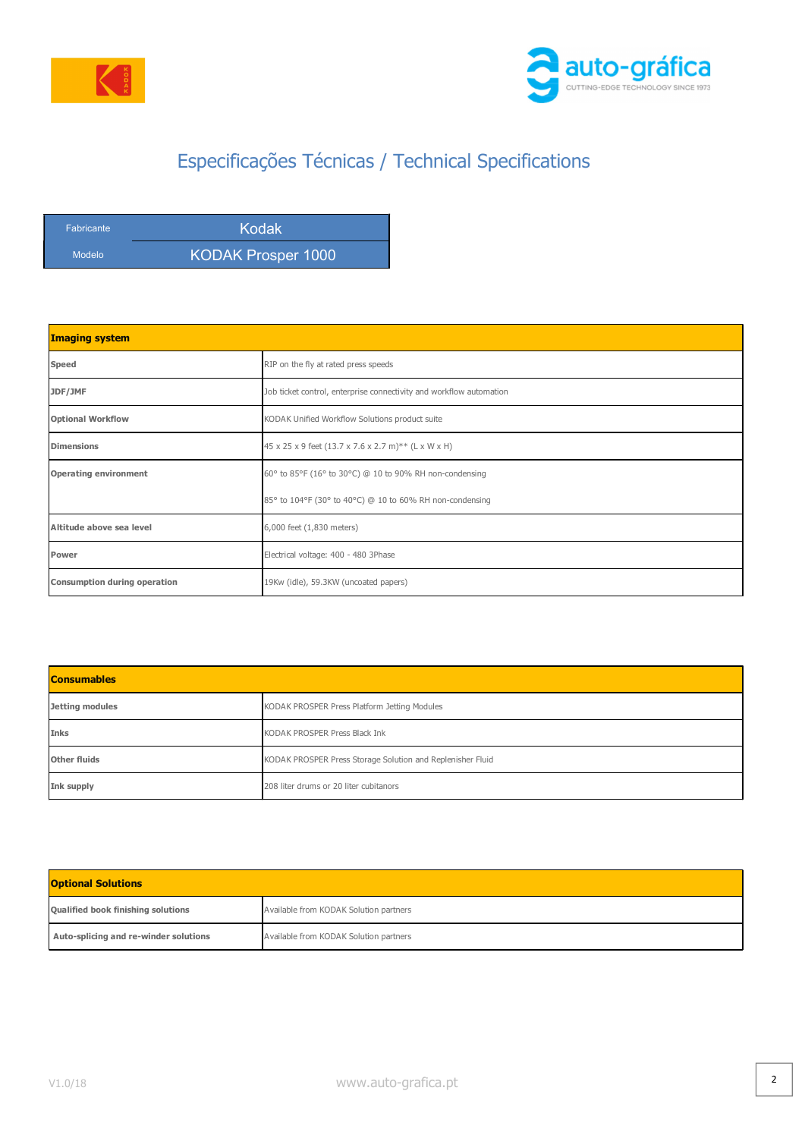

l



## Especificações Técnicas / Technical Specifications

| <b>Fabricante</b> | <b>Kodak</b>       |
|-------------------|--------------------|
| Modelo            | KODAK Prosper 1000 |

| <b>Imaging system</b>               |                                                                     |
|-------------------------------------|---------------------------------------------------------------------|
| Speed                               | RIP on the fly at rated press speeds                                |
| JDF/JMF                             | Job ticket control, enterprise connectivity and workflow automation |
| <b>Optional Workflow</b>            | KODAK Unified Workflow Solutions product suite                      |
| <b>Dimensions</b>                   | 45 x 25 x 9 feet (13.7 x 7.6 x 2.7 m)** (L x W x H)                 |
| <b>Operating environment</b>        | 60° to 85°F (16° to 30°C) @ 10 to 90% RH non-condensing             |
|                                     | 85° to 104°F (30° to 40°C) @ 10 to 60% RH non-condensing            |
| Altitude above sea level            | 6,000 feet (1,830 meters)                                           |
| Power                               | Electrical voltage: 400 - 480 3Phase                                |
| <b>Consumption during operation</b> | 19Kw (idle), 59.3KW (uncoated papers)                               |

| <b>Consumables</b>     |                                                            |
|------------------------|------------------------------------------------------------|
| <b>Jetting modules</b> | KODAK PROSPER Press Platform Jetting Modules               |
| Inks                   | KODAK PROSPER Press Black Ink                              |
| <b>Other fluids</b>    | KODAK PROSPER Press Storage Solution and Replenisher Fluid |
| Ink supply             | 208 liter drums or 20 liter cubitanors                     |

| <b>Optional Solutions</b>             |                                        |
|---------------------------------------|----------------------------------------|
| Qualified book finishing solutions    | Available from KODAK Solution partners |
| Auto-splicing and re-winder solutions | Available from KODAK Solution partners |